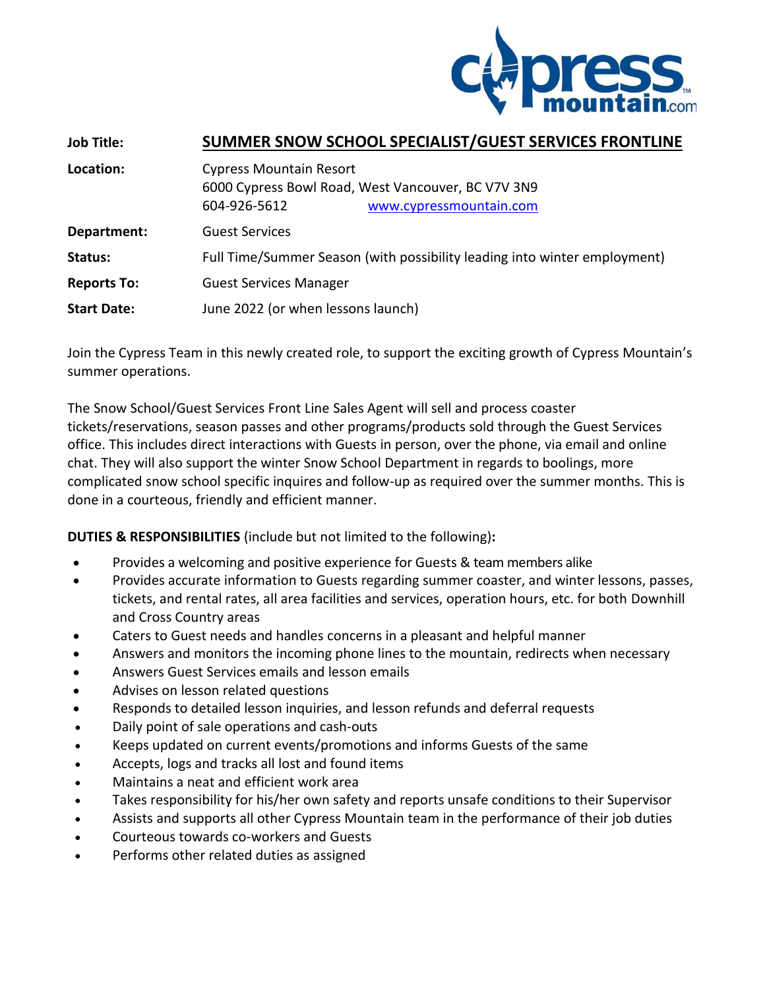

| <b>Job Title:</b>  | SUMMER SNOW SCHOOL SPECIALIST/GUEST SERVICES FRONTLINE                                                                          |
|--------------------|---------------------------------------------------------------------------------------------------------------------------------|
| Location:          | <b>Cypress Mountain Resort</b><br>6000 Cypress Bowl Road, West Vancouver, BC V7V 3N9<br>604-926-5612<br>www.cypressmountain.com |
| Department:        | <b>Guest Services</b>                                                                                                           |
| Status:            | Full Time/Summer Season (with possibility leading into winter employment)                                                       |
| <b>Reports To:</b> | <b>Guest Services Manager</b>                                                                                                   |
| <b>Start Date:</b> | June 2022 (or when lessons launch)                                                                                              |

Join the Cypress Team in this newly created role, to support the exciting growth of Cypress Mountain's summer operations.

The Snow School/Guest Services Front Line Sales Agent will sell and process coaster tickets/reservations, season passes and other programs/products sold through the Guest Services office. This includes direct interactions with Guests in person, over the phone, via email and online chat. They will also support the winter Snow School Department in regards to boolings, more complicated snow school specific inquires and follow-up as required over the summer months. This is done in a courteous, friendly and efficient manner.

**DUTIES & RESPONSIBILITIES** (include but not limited to the following)**:**

- Provides a welcoming and positive experience for Guests & team members alike
- Provides accurate information to Guests regarding summer coaster, and winter lessons, passes, tickets, and rental rates, all area facilities and services, operation hours, etc. for both Downhill and Cross Country areas
- Caters to Guest needs and handles concerns in a pleasant and helpful manner
- Answers and monitors the incoming phone lines to the mountain, redirects when necessary
- Answers Guest Services emails and lesson emails
- Advises on lesson related questions
- Responds to detailed lesson inquiries, and lesson refunds and deferral requests
- Daily point of sale operations and cash-outs
- Keeps updated on current events/promotions and informs Guests of the same
- Accepts, logs and tracks all lost and found items
- Maintains a neat and efficient work area
- Takes responsibility for his/her own safety and reports unsafe conditions to their Supervisor
- Assists and supports all other Cypress Mountain team in the performance of their job duties
- Courteous towards co-workers and Guests
- Performs other related duties as assigned